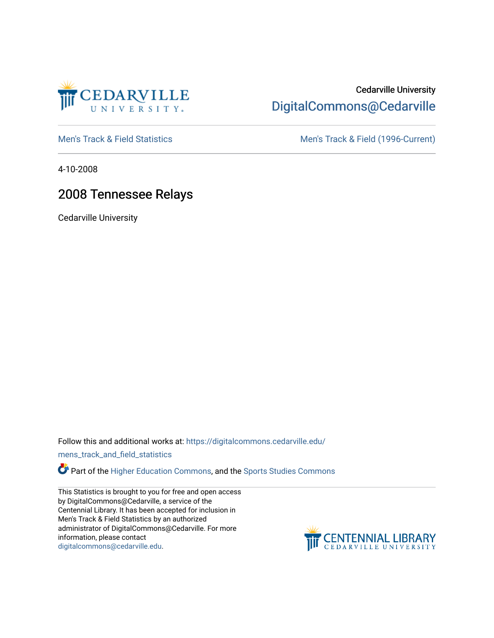

# Cedarville University [DigitalCommons@Cedarville](https://digitalcommons.cedarville.edu/)

[Men's Track & Field Statistics](https://digitalcommons.cedarville.edu/mens_track_and_field_statistics) [Men's Track & Field \(1996-Current\)](https://digitalcommons.cedarville.edu/mens_track_and_field) 

4-10-2008

## 2008 Tennessee Relays

Cedarville University

Follow this and additional works at: [https://digitalcommons.cedarville.edu/](https://digitalcommons.cedarville.edu/mens_track_and_field_statistics?utm_source=digitalcommons.cedarville.edu%2Fmens_track_and_field_statistics%2F185&utm_medium=PDF&utm_campaign=PDFCoverPages)

[mens\\_track\\_and\\_field\\_statistics](https://digitalcommons.cedarville.edu/mens_track_and_field_statistics?utm_source=digitalcommons.cedarville.edu%2Fmens_track_and_field_statistics%2F185&utm_medium=PDF&utm_campaign=PDFCoverPages)

Part of the [Higher Education Commons,](http://network.bepress.com/hgg/discipline/1245?utm_source=digitalcommons.cedarville.edu%2Fmens_track_and_field_statistics%2F185&utm_medium=PDF&utm_campaign=PDFCoverPages) and the Sports Studies Commons

This Statistics is brought to you for free and open access by DigitalCommons@Cedarville, a service of the Centennial Library. It has been accepted for inclusion in Men's Track & Field Statistics by an authorized administrator of DigitalCommons@Cedarville. For more information, please contact [digitalcommons@cedarville.edu](mailto:digitalcommons@cedarville.edu).

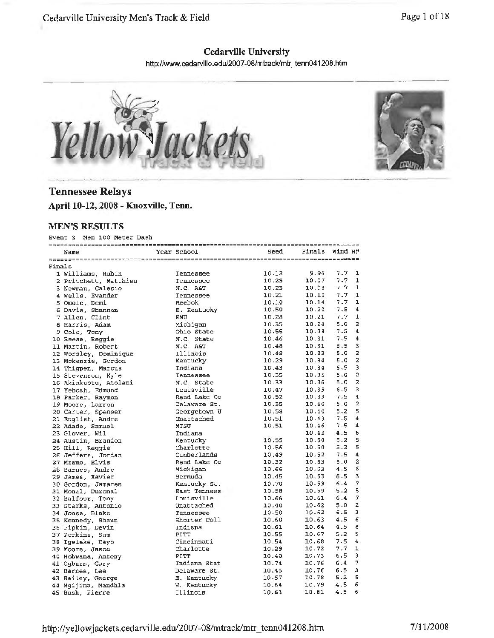### **Cedarville University**

http://www.cedarville.edu/2007-08/mtrack/mtr \_ tenn041208.htm





### **Tennessee Relays April 10-12, 2008 - Knoxville, Tenn.**

#### **MEN'S RESULTS**

Event 2 Men 100 Meter Dash

|        | Name                  | Year School  | Seed  | Finals | Wind H#                         |
|--------|-----------------------|--------------|-------|--------|---------------------------------|
|        |                       |              |       |        |                                 |
| Finals |                       |              |       |        |                                 |
|        | 1 Williams, Rubin     | Tennessee    | 10.12 | 9.96   | 7.7<br>1                        |
|        | 2 Pritchett, Matthieu | Tennessee    | 10.25 | 10.07  | 7.7<br>1                        |
|        | 3 Newman, Calesio     | N.C. AGT     | 10.25 | 10.08  | 7.7<br>$\mathbf{1}$             |
|        | 4 Wells, Evander      | Tennessee    | 10.21 | 10.10  | 7.7<br>$\mathbf{1}$             |
|        | 5 Omole, Demi         | Reebok       | 10.10 | 10.14  | 7.7<br>ı                        |
|        | 6 Davis, Shannon      | E. Kentucky  | 10.50 | 10.20  | 7.5<br>4                        |
|        | 7 Allen, Clint        | EMU          | 10.28 | 10.21  | 1<br>7.7                        |
|        | 8 Harris, Adam        | Michigan     | 10.35 | 10.24  | 2<br>5.0                        |
|        | 9 Cole, Tony          | Ohio State   | 10.55 | 10.28  | 7.5<br>4                        |
|        | 10 Reese, Reggie      | N.C. State   | 10.46 | 10.31  | 4<br>7.5                        |
|        | 11 Martin, Robert     | N.C. AGT     | 10.48 | 10.31  | з<br>6.5                        |
|        | 12 Worsley, Dominique | Illinois     | 10.48 | 10.33  | $\overline{\mathbf{z}}$<br>5.0  |
|        | 13 Mckenzie, Gordon   | Kentucky     | 10.29 | 10.34  | 2<br>5.0                        |
|        | 14 Thigpen, Marcus    | Indiana      | 10.43 | 10.34  | 3<br>6.5                        |
|        | 15 Stevenson, Kyle    | Tennessee    | 10.35 | 10.35  | $\overline{a}$<br>5.0           |
|        | 16 Akinkuotu, Atolani | N.C. State   | 10.33 | 10.36  | $\overline{\mathbf{c}}$<br>5.0  |
|        | 17 Yeboah, Edmund     | Louisville   | 10.47 | 10.39  | 3<br>6.5                        |
|        | 18 Parker, Raymon     | Rend Lake Co | 10.52 | 10.39  | $\bf{4}$<br>7.5                 |
|        | 19 Moore, Larron      | Delaware St. | 10.35 | 10.40  | $\overline{\mathbf{2}}$<br>5.0  |
|        | 20 Carter, Spenser    | Georgetown U | 10.58 | 10.40  | 5<br>5.2                        |
|        | 21 English, Andre     | Unattached   | 10.51 | 10.43  | 7.5<br>4                        |
|        | 22 Adade, Samuel      | <b>MTSU</b>  | 10.51 | 10.46  | 4<br>7.5                        |
|        | 23 Glover, Wil        | Indiana      |       | 10.49  | 4.5<br>6                        |
|        | 24 Austin, Brandon    | Kentucky     | 10.55 | 10.50  | 5<br>5.2                        |
|        | 25 Hill, Reggie       | Charlotte    | 10.56 | 10.50  | 5<br>5.2                        |
|        | 26 Jeffers, Jordan    | Cumberlands  | 10.49 | 10.52  | 4<br>7.5                        |
|        | 27 Mzamo, Elvis       | Rend Lake Co | 10.32 | 10.53  | $\overline{\mathbf{2}}$<br>5.0  |
|        | 28 Barnes, Andre      | Michigan     | 10.66 | 10.53  | б<br>4.5                        |
|        | 29 James, Xavier      | Bermuda      | 10.45 | 10.53  | 3<br>6.5                        |
|        | 30 Gordon, Jamaree    | Kentucky St. | 10.70 | 10.59  | $\overline{7}$<br>6.4           |
|        | 31 Monal, Duronal     | East Tenness | 10.58 | 10.59  | 5<br>5.2                        |
|        | 32 Balfour, Tony      | Louisville   | 10.66 | 10.61  | $\overline{7}$<br>6.4           |
|        | 33 Starks, Antonio    | Unattached   | 10.40 | 10.62  | $\overline{a}$<br>5.0           |
|        | 34 Jones, Blake       | Tennessee    | 10.50 | 10.62  | 3<br>6.5                        |
|        | 35 Kennedy, Shaun     | Shorter Coll | 10.60 | 10.63  | 6<br>4.5                        |
|        | 36 Pipkin, Devin      | Indiana      | 10.61 | 10.64  | 6<br>4.5                        |
|        | 37 Perkins, Sam       | PITT         | 10.55 | 10.67  | 5<br>5.2                        |
|        | 38 Igeleke, Dayo      | Cincinnati   | 10.54 | 10.68  | 7.5<br>4                        |
|        | 39 Moore, Jason       | Charlotte    | 10.29 | 10.72  | 7.7<br>ı                        |
|        | 40 Hobwana, Antony    | <b>PITT</b>  | 10.40 | 10.73  | 3<br>6.5                        |
|        | 41 Ogburn, Gary       | Indiana Stat | 10.74 | 10.76  | $\overline{\phantom{a}}$<br>6.4 |
|        | 42 Barnes, Lee        | Delaware St. | 10.45 | 10.76  | э<br>6.5                        |
|        | 43 Bailey, George     | E. Kentucky  | 10.57 | 10.78  | 5<br>5.2                        |
|        | 44 Mgijima, Mandhla   | W. Kentucky  | 10.64 | 10.79  | 4.5<br>6                        |
|        | 45 Bush, Pierre       | Illinois     | 10.63 | 10.61  | 6<br>4.5                        |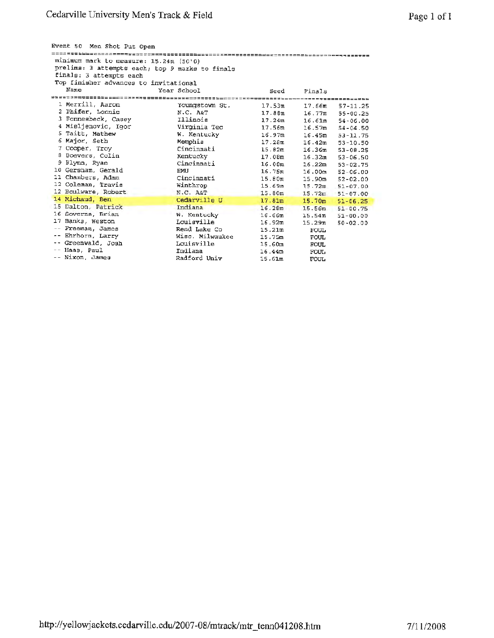| Event 50 Men Shot Put Open                                                                                             |                 |                    |                    |               |  |  |  |  |  |
|------------------------------------------------------------------------------------------------------------------------|-----------------|--------------------|--------------------|---------------|--|--|--|--|--|
| minimum mark to measure: $15.24m$ (50'0)<br>prelims: 3 attempts each; top 9 marks to finals<br>finals: 3 attempts each |                 |                    |                    |               |  |  |  |  |  |
| Top finisher advances to invitational                                                                                  |                 |                    |                    |               |  |  |  |  |  |
| Name                                                                                                                   | Year School     | Seed               | Finals             |               |  |  |  |  |  |
|                                                                                                                        |                 |                    |                    |               |  |  |  |  |  |
| 1 Merrill, Aaron                                                                                                       | Youngstown St.  | 17.53m             | 17.66m             | $57 - 11.25$  |  |  |  |  |  |
| 2 Phifer, Lonnie                                                                                                       | N.C. A&T        | 17.88m             | 16.77m             | $55 - 00.25$  |  |  |  |  |  |
| 3 Fonnesbeck, Casey                                                                                                    | Illinois        | 17.24m             | 16.61m             | $54 - 06.00$  |  |  |  |  |  |
| 4 Misljenovic, Igor                                                                                                    | Virginia Teo    | 17.56 <sub>m</sub> | 16.57m             | $54 - 04.50$  |  |  |  |  |  |
| 5 Taitt, Mathew                                                                                                        | W. Kentucky     | 16.97m             | 16.45m             | $-53 - 11.75$ |  |  |  |  |  |
| 6 Major, Seth                                                                                                          | Memphis         | 17.28m             | 16.42m             | $53 - 10.50$  |  |  |  |  |  |
| 7 Cooper, Troy                                                                                                         | Cincinnati      | 15.82m             | 16.36 <sub>m</sub> | $53 - 08.25$  |  |  |  |  |  |
| 8.<br>Boevers, Colin                                                                                                   | Kentucky        | 17.08m             | 16.32m             | $53 - 06.50$  |  |  |  |  |  |
| 9 Flynn, Ryan                                                                                                          | Cincinnati      | 16.08m             | 16.22m             | $53 - 02.75$  |  |  |  |  |  |
| 10 Gersham. Gerald                                                                                                     | <b>EMU</b>      | 16.75m             | 16.00 <sub>m</sub> | $52 - 06.00$  |  |  |  |  |  |
| 11 Chambers, Adam                                                                                                      | Cincinnati      | 15.80 <sub>m</sub> | 15.90m             | $52 - 02.00$  |  |  |  |  |  |
| 12 Coleman, Travis                                                                                                     | Winthrop        | 15.69m             | 15.72m             | $51 - 07.00$  |  |  |  |  |  |
| 12 Boulware, Robert                                                                                                    | N.C. A&T        | 15.80m             | 15.72m             | $51 - 07.00$  |  |  |  |  |  |
| 14 Michaud, Ben                                                                                                        | Cedarville U    | 17.81m             | 15.70 <sub>m</sub> | $51 - 06.25$  |  |  |  |  |  |
| 15 Dalton, Patrick                                                                                                     | Indiana         | 16.28m             | 15.56m             | $51 - 00.75$  |  |  |  |  |  |
| 16 Soverns, Brian                                                                                                      | W. Kentucky     | 16.66m             | 15.54m             | $51 - 00.00$  |  |  |  |  |  |
| 17 <sub>1</sub><br>Banks, Weston                                                                                       | Louisville      | 16.92m             | 15.29 <sub>m</sub> | $50 - 02.00$  |  |  |  |  |  |
| Freeman, James<br>$--$                                                                                                 | Rend Lake Co    | 15.21m             | <b>FOUL</b>        |               |  |  |  |  |  |
| -- Ehrhorn, Larry                                                                                                      | Wisc. Milwaukee | 15.75m             | <b>FOUL</b>        |               |  |  |  |  |  |
| -- Greenwald, Josh                                                                                                     | Louisville      | 15.60m             | <b>FOUL</b>        |               |  |  |  |  |  |
| -- Haas, Paul                                                                                                          | Indiana         | 16.44 <sub>m</sub> | FOUL               |               |  |  |  |  |  |
| -- Nixon, James                                                                                                        | Radford Univ    | 15.61m             | <b>FOUL</b>        |               |  |  |  |  |  |